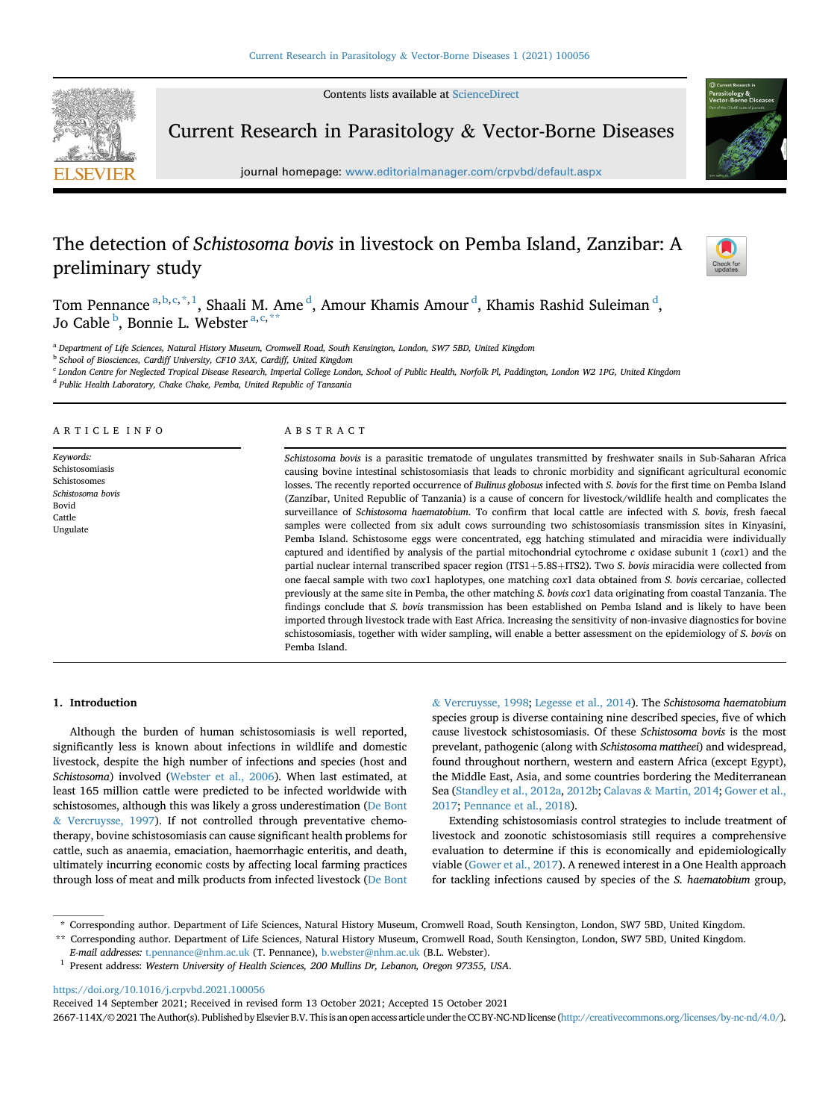Contents lists available at [ScienceDirect](www.sciencedirect.com/science/journal/2667114X)



Current Research in Parasitology & Vector-Borne Diseases

journal homepage: [www.editorialmanager.com/crpvbd/default.aspx](http://www.editorialmanager.com/crpvbd/default.aspx)

# The detection of Schistosoma bovis in livestock on Pemba Island, Zanzibar: A preliminary study



Tom Penn[a](#page-0-0)nce <sup>a, [b](#page-0-1), [c,](#page-0-2) \*, [1](#page-0-3)</sup>, Shaali M. Ame <sup>[d](#page-0-4)</sup>, Amour Khamis Amour <sup>d</sup>, Khamis Rashid Suleiman <sup>d</sup>, Jo Ca[b](#page-0-1)le <sup>b</sup>, Bonnie L. Webster <sup>[a,](#page-0-0) [c](#page-0-2), [\\*\\*](#page-0-5)</sup>

<span id="page-0-0"></span><sup>a</sup> Department of Life Sciences, Natural History Museum, Cromwell Road, South Kensington, London, SW7 5BD, United Kingdom

<span id="page-0-1"></span>**b** School of Biosciences, Cardiff University, CF10 3AX, Cardiff, United Kingdom

<span id="page-0-2"></span><sup>c</sup> London Centre for Neglected Tropical Disease Research, Imperial College London, School of Public Health, Norfolk Pl, Paddington, London W2 1PG, United Kingdom

<span id="page-0-4"></span><sup>d</sup> Public Health Laboratory, Chake Chake, Pemba, United Republic of Tanzania

# ARTICLE INFO

Keywords: Schistosomiasis Schistosomes Schistosoma bovis Bovid Cattle Ungulate

# ABSTRACT

Schistosoma bovis is a parasitic trematode of ungulates transmitted by freshwater snails in Sub-Saharan Africa causing bovine intestinal schistosomiasis that leads to chronic morbidity and significant agricultural economic losses. The recently reported occurrence of Bulinus globosus infected with S. bovis for the first time on Pemba Island (Zanzibar, United Republic of Tanzania) is a cause of concern for livestock/wildlife health and complicates the surveillance of *Schistosoma haematobium*. To confirm that local cattle are infected with *S. bovis*, fresh faecal samples were collected from six adult cows surrounding two schistosomiasis transmission sites in Kinyasini, Pemba Island. Schistosome eggs were concentrated, egg hatching stimulated and miracidia were individually captured and identified by analysis of the partial mitochondrial cytochrome  $c$  oxidase subunit 1 ( $cox1$ ) and the partial nuclear internal transcribed spacer region (ITS1+5.8S+ITS2). Two S. bovis miracidia were collected from one faecal sample with two cox1 haplotypes, one matching cox1 data obtained from S. bovis cercariae, collected previously at the same site in Pemba, the other matching S. bovis cox1 data originating from coastal Tanzania. The findings conclude that S. bovis transmission has been established on Pemba Island and is likely to have been imported through livestock trade with East Africa. Increasing the sensitivity of non-invasive diagnostics for bovine schistosomiasis, together with wider sampling, will enable a better assessment on the epidemiology of S. bovis on Pemba Island.

# 1. Introduction

Although the burden of human schistosomiasis is well reported, significantly less is known about infections in wildlife and domestic livestock, despite the high number of infections and species (host and Schistosoma) involved ([Webster et al., 2006\)](#page-3-0). When last estimated, at least 165 million cattle were predicted to be infected worldwide with schistosomes, although this was likely a gross underestimation ([De Bont](#page-2-0) & [Vercruysse, 1997\)](#page-2-0). If not controlled through preventative chemotherapy, bovine schistosomiasis can cause significant health problems for cattle, such as anaemia, emaciation, haemorrhagic enteritis, and death, ultimately incurring economic costs by affecting local farming practices through loss of meat and milk products from infected livestock ([De Bont](#page-2-1)

& [Vercruysse, 1998](#page-2-1); [Legesse et al., 2014\)](#page-3-1). The Schistosoma haematobium species group is diverse containing nine described species, five of which cause livestock schistosomiasis. Of these Schistosoma bovis is the most prevelant, pathogenic (along with Schistosoma mattheei) and widespread, found throughout northern, western and eastern Africa (except Egypt), the Middle East, Asia, and some countries bordering the Mediterranean Sea [\(Standley et al., 2012a,](#page-3-2) [2012b](#page-3-3); [Calavas](#page-2-2) & [Martin, 2014;](#page-2-2) [Gower et al.,](#page-3-4) [2017;](#page-3-4) [Pennance et al., 2018\)](#page-3-5).

Extending schistosomiasis control strategies to include treatment of livestock and zoonotic schistosomiasis still requires a comprehensive evaluation to determine if this is economically and epidemiologically viable ([Gower et al., 2017](#page-3-4)). A renewed interest in a One Health approach for tackling infections caused by species of the S. haematobium group,

E-mail addresses: [t.pennance@nhm.ac.uk](mailto:t.pennance@nhm.ac.uk) (T. Pennance), [b.webster@nhm.ac.uk](mailto:b.webster@nhm.ac.uk) (B.L. Webster).

<https://doi.org/10.1016/j.crpvbd.2021.100056>

Received 14 September 2021; Received in revised form 13 October 2021; Accepted 15 October 2021

2667-114X/©2021 The Author(s). Published by Elsevier B.V. This is an open access article under the CC BY-NC-NDlicense [\(http://creativecommons.org/licenses/by-nc-nd/4.0/](http://creativecommons.org/licenses/by-nc-nd/4.0/)).

<sup>\*</sup> Corresponding author. Department of Life Sciences, Natural History Museum, Cromwell Road, South Kensington, London, SW7 5BD, United Kingdom.

<span id="page-0-5"></span><sup>\*\*</sup> Corresponding author. Department of Life Sciences, Natural History Museum, Cromwell Road, South Kensington, London, SW7 5BD, United Kingdom.

<span id="page-0-3"></span><sup>&</sup>lt;sup>1</sup> Present address: Western University of Health Sciences, 200 Mullins Dr, Lebanon, Oregon 97355, USA.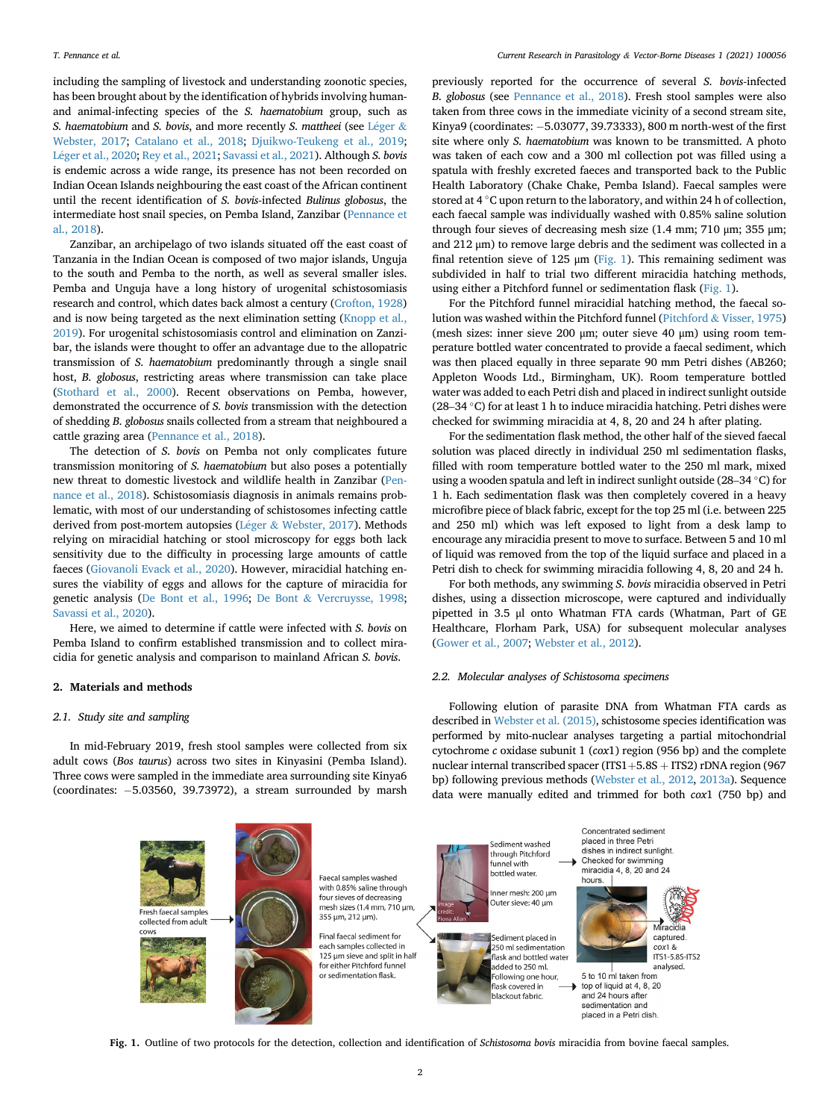including the sampling of livestock and understanding zoonotic species, has been brought about by the identification of hybrids involving humanand animal-infecting species of the S. haematobium group, such as S. haematobium and S. bovis, and more recently S. mattheei (see [L](#page-3-6)é[ger](#page-3-6) & [Webster, 2017;](#page-3-6) [Catalano et al., 2018;](#page-2-3) [Djuikwo-Teukeng et al., 2019;](#page-3-7) [L](#page-3-8)é[ger et al., 2020;](#page-3-8) [Rey et al., 2021](#page-3-9); [Savassi et al., 2021](#page-3-10)). Although S. bovis is endemic across a wide range, its presence has not been recorded on Indian Ocean Islands neighbouring the east coast of the African continent until the recent identification of S. bovis-infected Bulinus globosus, the intermediate host snail species, on Pemba Island, Zanzibar ([Pennance et](#page-3-5) [al., 2018](#page-3-5)).

Zanzibar, an archipelago of two islands situated off the east coast of Tanzania in the Indian Ocean is composed of two major islands, Unguja to the south and Pemba to the north, as well as several smaller isles. Pemba and Unguja have a long history of urogenital schistosomiasis research and control, which dates back almost a century [\(Crofton, 1928\)](#page-2-4) and is now being targeted as the next elimination setting ([Knopp et al.,](#page-3-11) [2019\)](#page-3-11). For urogenital schistosomiasis control and elimination on Zanzibar, the islands were thought to offer an advantage due to the allopatric transmission of S. haematobium predominantly through a single snail host, B. globosus, restricting areas where transmission can take place ([Stothard et al., 2000\)](#page-3-12). Recent observations on Pemba, however, demonstrated the occurrence of S. bovis transmission with the detection of shedding B. globosus snails collected from a stream that neighboured a cattle grazing area ([Pennance et al., 2018](#page-3-5)).

The detection of S. bovis on Pemba not only complicates future transmission monitoring of S. haematobium but also poses a potentially new threat to domestic livestock and wildlife health in Zanzibar [\(Pen](#page-3-5)[nance et al., 2018](#page-3-5)). Schistosomiasis diagnosis in animals remains problematic, with most of our understanding of schistosomes infecting cattle derived from post-mortem autopsies [\(L](#page-3-6)éger & [Webster, 2017](#page-3-6)). Methods relying on miracidial hatching or stool microscopy for eggs both lack sensitivity due to the difficulty in processing large amounts of cattle faeces [\(Giovanoli Evack et al., 2020\)](#page-3-13). However, miracidial hatching ensures the viability of eggs and allows for the capture of miracidia for genetic analysis ([De Bont et al., 1996](#page-3-14); [De Bont](#page-2-1) & [Vercruysse, 1998;](#page-2-1) [Savassi et al., 2020\)](#page-3-15).

Here, we aimed to determine if cattle were infected with S. bovis on Pemba Island to confirm established transmission and to collect miracidia for genetic analysis and comparison to mainland African S. bovis.

#### 2. Materials and methods

# 2.1. Study site and sampling

<span id="page-1-0"></span>In mid-February 2019, fresh stool samples were collected from six adult cows (Bos taurus) across two sites in Kinyasini (Pemba Island). Three cows were sampled in the immediate area surrounding site Kinya6 (coordinates: -5.03560, 39.73972), a stream surrounded by marsh

previously reported for the occurrence of several S. bovis-infected B. globosus (see [Pennance et al., 2018](#page-3-5)). Fresh stool samples were also taken from three cows in the immediate vicinity of a second stream site, Kinya9 (coordinates: -5.03077, 39.73333), 800 m north-west of the first site where only S. haematobium was known to be transmitted. A photo was taken of each cow and a 300 ml collection pot was filled using a spatula with freshly excreted faeces and transported back to the Public Health Laboratory (Chake Chake, Pemba Island). Faecal samples were stored at 4  $\degree$ C upon return to the laboratory, and within 24 h of collection, each faecal sample was individually washed with 0.85% saline solution through four sieves of decreasing mesh size (1.4 mm; 710 μm; 355 μm; and 212 μm) to remove large debris and the sediment was collected in a final retention sieve of 125  $\mu$ m [\(Fig. 1\)](#page-1-0). This remaining sediment was subdivided in half to trial two different miracidia hatching methods, using either a Pitchford funnel or sedimentation flask [\(Fig. 1\)](#page-1-0).

For the Pitchford funnel miracidial hatching method, the faecal solution was washed within the Pitchford funnel [\(Pitchford](#page-3-16) & [Visser, 1975\)](#page-3-16) (mesh sizes: inner sieve 200 μm; outer sieve 40 μm) using room temperature bottled water concentrated to provide a faecal sediment, which was then placed equally in three separate 90 mm Petri dishes (AB260; Appleton Woods Ltd., Birmingham, UK). Room temperature bottled water was added to each Petri dish and placed in indirect sunlight outside (28–34 °C) for at least 1 h to induce miracidia hatching. Petri dishes were checked for swimming miracidia at 4, 8, 20 and 24 h after plating.

For the sedimentation flask method, the other half of the sieved faecal solution was placed directly in individual 250 ml sedimentation flasks, filled with room temperature bottled water to the 250 ml mark, mixed For the sedimentation flask method, the other half of the sieved faecal solution was placed directly in individual 250 ml sedimentation flasks, filled with room temperature bottled water to the 250 ml mark, mixed using a 1 h. Each sedimentation flask was then completely covered in a heavy microfibre piece of black fabric, except for the top 25 ml (i.e. between 225 and 250 ml) which was left exposed to light from a desk lamp to encourage any miracidia present to move to surface. Between 5 and 10 ml of liquid was removed from the top of the liquid surface and placed in a Petri dish to check for swimming miracidia following 4, 8, 20 and 24 h.

For both methods, any swimming S. bovis miracidia observed in Petri dishes, using a dissection microscope, were captured and individually pipetted in 3.5 μl onto Whatman FTA cards (Whatman, Part of GE Healthcare, Florham Park, USA) for subsequent molecular analyses ([Gower et al., 2007;](#page-3-17) [Webster et al., 2012\)](#page-3-18).

# 2.2. Molecular analyses of Schistosoma specimens

Following elution of parasite DNA from Whatman FTA cards as described in [Webster et al. \(2015\),](#page-3-19) schistosome species identification was performed by mito-nuclear analyses targeting a partial mitochondrial cytochrome c oxidase subunit 1 (cox1) region (956 bp) and the complete nuclear internal transcribed spacer (ITS1+5.8S + ITS2) rDNA region (967 bp) following previous methods [\(Webster et al., 2012,](#page-3-18) [2013a\)](#page-3-20). Sequence data were manually edited and trimmed for both cox1 (750 bp) and



Fig. 1. Outline of two protocols for the detection, collection and identification of Schistosoma bovis miracidia from bovine faecal samples.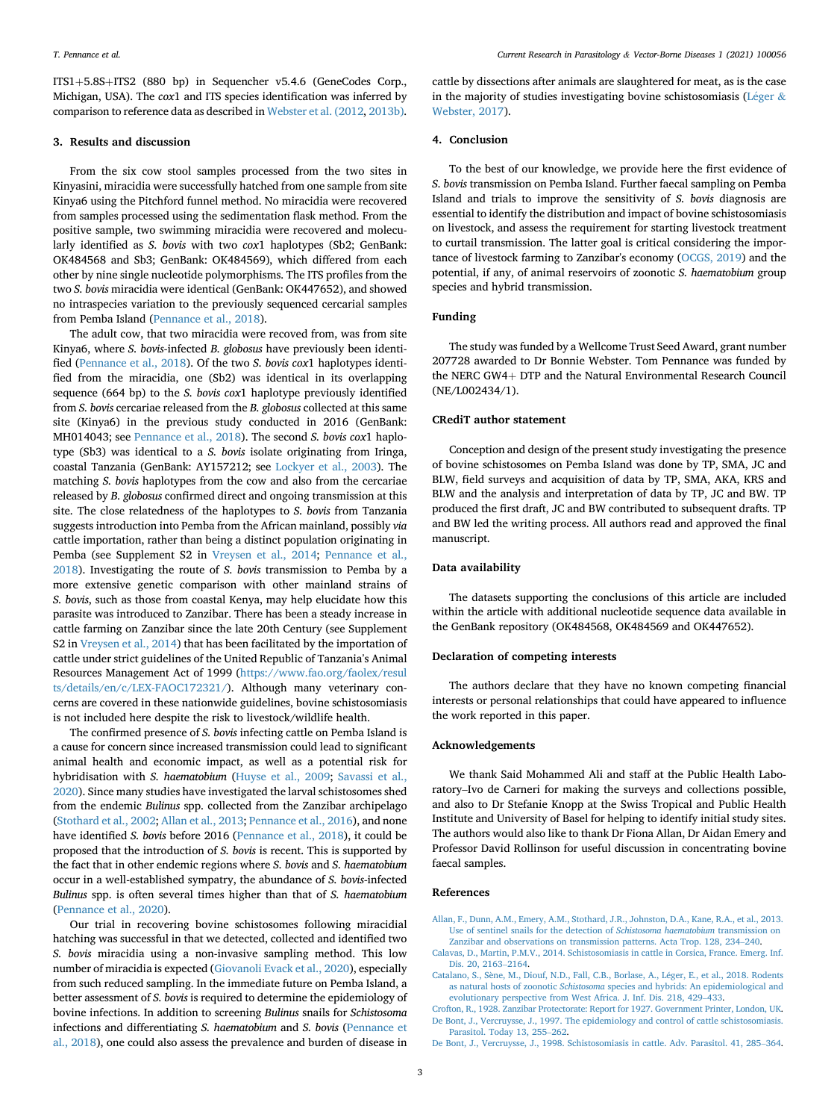$ITS1+5.8S+ITS2$  (880 bp) in Sequencher v5.4.6 (GeneCodes Corp., Michigan, USA). The cox1 and ITS species identification was inferred by comparison to reference data as described in [Webster et al. \(2012,](#page-3-18) [2013b\).](#page-3-21)

#### 3. Results and discussion

From the six cow stool samples processed from the two sites in Kinyasini, miracidia were successfully hatched from one sample from site Kinya6 using the Pitchford funnel method. No miracidia were recovered from samples processed using the sedimentation flask method. From the positive sample, two swimming miracidia were recovered and molecularly identified as S. bovis with two cox1 haplotypes (Sb2; GenBank: OK484568 and Sb3; GenBank: OK484569), which differed from each other by nine single nucleotide polymorphisms. The ITS profiles from the two S. bovis miracidia were identical (GenBank: OK447652), and showed no intraspecies variation to the previously sequenced cercarial samples from Pemba Island ([Pennance et al., 2018](#page-3-5)).

The adult cow, that two miracidia were recoved from, was from site Kinya6, where S. bovis-infected B. globosus have previously been identified [\(Pennance et al., 2018](#page-3-5)). Of the two S. bovis cox1 haplotypes identified from the miracidia, one (Sb2) was identical in its overlapping sequence (664 bp) to the S. bovis cox1 haplotype previously identified from S. bovis cercariae released from the B. globosus collected at this same site (Kinya6) in the previous study conducted in 2016 (GenBank: MH014043; see [Pennance et al., 2018\)](#page-3-5). The second S. bovis cox1 haplotype (Sb3) was identical to a S. bovis isolate originating from Iringa, coastal Tanzania (GenBank: AY157212; see [Lockyer et al., 2003](#page-3-22)). The matching S. bovis haplotypes from the cow and also from the cercariae released by B. globosus confirmed direct and ongoing transmission at this site. The close relatedness of the haplotypes to S. bovis from Tanzania suggests introduction into Pemba from the African mainland, possibly via cattle importation, rather than being a distinct population originating in Pemba (see Supplement S2 in [Vreysen et al., 2014;](#page-3-23) [Pennance et al.,](#page-3-5) [2018\)](#page-3-5). Investigating the route of S. bovis transmission to Pemba by a more extensive genetic comparison with other mainland strains of S. bovis, such as those from coastal Kenya, may help elucidate how this parasite was introduced to Zanzibar. There has been a steady increase in cattle farming on Zanzibar since the late 20th Century (see Supplement S2 in [Vreysen et al., 2014\)](#page-3-23) that has been facilitated by the importation of cattle under strict guidelines of the United Republic of Tanzania's Animal Resources Management Act of 1999 [\(https://www.fao.org/faolex/resul](https://www.fao.org/faolex/results/details/en/c/LEX-FAOC172321/) [ts/details/en/c/LEX-FAOC172321/\)](https://www.fao.org/faolex/results/details/en/c/LEX-FAOC172321/). Although many veterinary concerns are covered in these nationwide guidelines, bovine schistosomiasis is not included here despite the risk to livestock/wildlife health.

The confirmed presence of S. bovis infecting cattle on Pemba Island is a cause for concern since increased transmission could lead to significant animal health and economic impact, as well as a potential risk for hybridisation with S. haematobium [\(Huyse et al., 2009](#page-3-24); [Savassi et al.,](#page-3-15) [2020\)](#page-3-15). Since many studies have investigated the larval schistosomes shed from the endemic Bulinus spp. collected from the Zanzibar archipelago ([Stothard et al., 2002](#page-3-25); [Allan et al., 2013;](#page-2-5) [Pennance et al., 2016](#page-3-26)), and none have identified S. bovis before 2016 [\(Pennance et al., 2018\)](#page-3-5), it could be proposed that the introduction of S. bovis is recent. This is supported by the fact that in other endemic regions where S. bovis and S. haematobium occur in a well-established sympatry, the abundance of S. bovis-infected Bulinus spp. is often several times higher than that of S. haematobium ([Pennance et al., 2020](#page-3-27)).

Our trial in recovering bovine schistosomes following miracidial hatching was successful in that we detected, collected and identified two S. bovis miracidia using a non-invasive sampling method. This low number of miracidia is expected ([Giovanoli Evack et al., 2020\)](#page-3-13), especially from such reduced sampling. In the immediate future on Pemba Island, a better assessment of S. bovis is required to determine the epidemiology of bovine infections. In addition to screening Bulinus snails for Schistosoma infections and differentiating S. haematobium and S. bovis [\(Pennance et](#page-3-5) [al., 2018](#page-3-5)), one could also assess the prevalence and burden of disease in cattle by dissections after animals are slaughtered for meat, as is the case in the majority of studies investigating bovine schistosomiasis ([L](#page-3-6)é[ger](#page-3-6)  $\&$ [Webster, 2017](#page-3-6)).

#### 4. Conclusion

To the best of our knowledge, we provide here the first evidence of S. bovis transmission on Pemba Island. Further faecal sampling on Pemba Island and trials to improve the sensitivity of S. bovis diagnosis are essential to identify the distribution and impact of bovine schistosomiasis on livestock, and assess the requirement for starting livestock treatment to curtail transmission. The latter goal is critical considering the importance of livestock farming to Zanzibar's economy [\(OCGS, 2019\)](#page-3-28) and the potential, if any, of animal reservoirs of zoonotic S. haematobium group species and hybrid transmission.

# Funding

The study was funded by a Wellcome Trust Seed Award, grant number 207728 awarded to Dr Bonnie Webster. Tom Pennance was funded by the NERC GW4 $+$  DTP and the Natural Environmental Research Council (NE/L002434/1).

# CRediT author statement

Conception and design of the present study investigating the presence of bovine schistosomes on Pemba Island was done by TP, SMA, JC and BLW, field surveys and acquisition of data by TP, SMA, AKA, KRS and BLW and the analysis and interpretation of data by TP, JC and BW. TP produced the first draft, JC and BW contributed to subsequent drafts. TP and BW led the writing process. All authors read and approved the final manuscript.

# Data availability

The datasets supporting the conclusions of this article are included within the article with additional nucleotide sequence data available in the GenBank repository (OK484568, OK484569 and OK447652).

# Declaration of competing interests

The authors declare that they have no known competing financial interests or personal relationships that could have appeared to influence the work reported in this paper.

# Acknowledgements

We thank Said Mohammed Ali and staff at the Public Health Laboratory–Ivo de Carneri for making the surveys and collections possible, and also to Dr Stefanie Knopp at the Swiss Tropical and Public Health Institute and University of Basel for helping to identify initial study sites. The authors would also like to thank Dr Fiona Allan, Dr Aidan Emery and Professor David Rollinson for useful discussion in concentrating bovine faecal samples.

### References

- <span id="page-2-5"></span>[Allan, F., Dunn, A.M., Emery, A.M., Stothard, J.R., Johnston, D.A., Kane, R.A., et al., 2013.](http://refhub.elsevier.com/S2667-114X(21)00050-9/sref1) [Use of sentinel snails for the detection of](http://refhub.elsevier.com/S2667-114X(21)00050-9/sref1) Schistosoma haematobium transmission on m, F., Dunn, A.M., Emery, A.M., Stothard, J.R., Johnston, D.A., Kane, R.A., et al., Use of sentinel snails for the detection of *Schistosoma haematobium* transmissio<br>Zanzibar and observations on transmission patterns. Acta
- Use of sentinel snails for the detection of *Schistosoma haematobium* transmission on<br>Zanzibar and observations on transmission patterns. Acta Trop. 128, 234–240.<br>Calavas, D., Martin, P.M.V., 2014. Schistosomiasis in cattl
- <span id="page-2-3"></span><span id="page-2-2"></span>[Catalano, S., S](http://refhub.elsevier.com/S2667-114X(21)00050-9/sref3)[ene, M., Diouf, N.D., Fall, C.B., Borlase, A., L](http://refhub.elsevier.com/S2667-114X(21)00050-9/sref3)e[ger, E., et al., 2018. Rodents](http://refhub.elsevier.com/S2667-114X(21)00050-9/sref3) as natural hosts of zoonotic Schistosoma [species and hybrids: An epidemiological and](http://refhub.elsevier.com/S2667-114X(21)00050-9/sref3) Dis. 20, 2163-2164.<br>Ilano, S., Sène, M., Diouf, N.D., Fall, C.B., Borlase, A., Léger, E., et al., as natural hosts of zoonotic *Schistosoma* species and hybrids: An epide<br>evolutionary perspective from West Africa. J. Inf.
- <span id="page-2-4"></span><span id="page-2-0"></span>[Crofton, R., 1928. Zanzibar Protectorate: Report for 1927. Government Printer, London, UK.](http://refhub.elsevier.com/S2667-114X(21)00050-9/sref4) evolutionary perspective from West Africa. J. Inf. Dis. 218, 429–433.<br>
Crofton, R., 1928. Zanzibar Protectorate: Report for 1927. Government Printer, London, UK.<br>
De Bont, J., Vercruysse, J., 1997. The epidemiology and con
- <span id="page-2-1"></span>